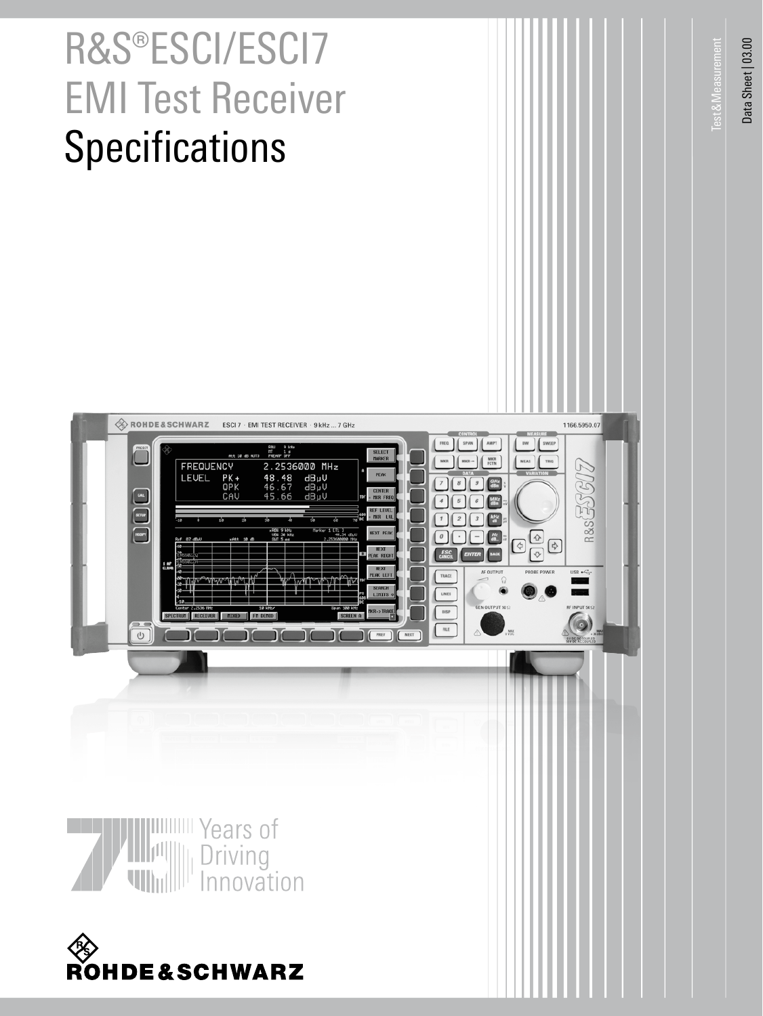# R&S®ESCI/ESCI7 EMI Test Receiver **Specifications**

Data Sheet | 03.00 Data Sheet | 03.00

Test&Measurement

**Test & Measurement** 

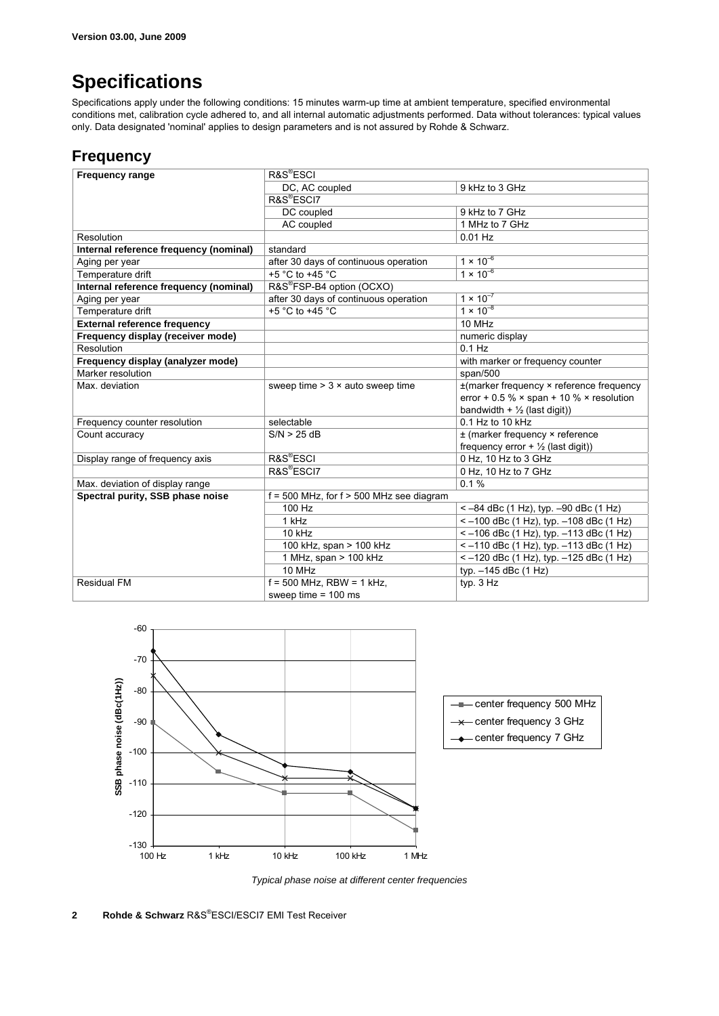# **Specifications**

Specifications apply under the following conditions: 15 minutes warm-up time at ambient temperature, specified environmental conditions met, calibration cycle adhered to, and all internal automatic adjustments performed. Data without tolerances: typical values only. Data designated 'nominal' applies to design parameters and is not assured by Rohde & Schwarz.

#### **Frequency**

| <b>Frequency range</b>                 | R&S <sup>®</sup> ESCI                        |                                                        |
|----------------------------------------|----------------------------------------------|--------------------------------------------------------|
|                                        | DC, AC coupled                               | 9 kHz to 3 GHz                                         |
|                                        | R&S <sup>®</sup> ESCI7                       |                                                        |
|                                        | DC coupled                                   | 9 kHz to 7 GHz                                         |
|                                        | AC coupled                                   | 1 MHz to 7 GHz                                         |
| Resolution                             |                                              | $0.01$ Hz                                              |
| Internal reference frequency (nominal) | standard                                     |                                                        |
| Aging per year                         | after 30 days of continuous operation        | $1 \times 10^{-6}$                                     |
| Temperature drift                      | +5 °C to +45 °C                              | $1 \times 10^{-6}$                                     |
| Internal reference frequency (nominal) | R&S®FSP-B4 option (OCXO)                     |                                                        |
| Aging per year                         | after 30 days of continuous operation        | $1 \times 10^{-7}$                                     |
| Temperature drift                      | $+5$ °C to +45 °C                            | $1 \times 10^{-8}$                                     |
| <b>External reference frequency</b>    |                                              | 10 MHz                                                 |
| Frequency display (receiver mode)      |                                              | numeric display                                        |
| Resolution                             |                                              | $0.1$ Hz                                               |
| Frequency display (analyzer mode)      |                                              | with marker or frequency counter                       |
| Marker resolution                      |                                              | span/500                                               |
| Max. deviation                         | sweep time $> 3 \times$ auto sweep time      | $\pm$ (marker frequency $\times$ reference frequency   |
|                                        |                                              | error + 0.5 % $\times$ span + 10 % $\times$ resolution |
|                                        |                                              | bandwidth + $\frac{1}{2}$ (last digit))                |
| Frequency counter resolution           | selectable                                   | $0.1$ Hz to 10 kHz                                     |
| Count accuracy                         | S/N > 25 dB                                  | ± (marker frequency × reference                        |
|                                        |                                              | frequency error + $\frac{1}{2}$ (last digit))          |
| Display range of frequency axis        | R&S <sup>®</sup> ESCI                        | 0 Hz, 10 Hz to 3 GHz                                   |
|                                        | R&S <sup>®</sup> ESCI7                       | 0 Hz, 10 Hz to 7 GHz                                   |
| Max. deviation of display range        |                                              | 0.1%                                                   |
| Spectral purity, SSB phase noise       | $f = 500$ MHz, for $f > 500$ MHz see diagram |                                                        |
|                                        | 100 Hz                                       | $<-84$ dBc (1 Hz), typ. $-90$ dBc (1 Hz)               |
|                                        | 1 kHz                                        | $\le$ -100 dBc (1 Hz), typ. -108 dBc (1 Hz)            |
|                                        | $10$ kHz                                     | $<-106$ dBc (1 Hz), typ. $-113$ dBc (1 Hz)             |
|                                        | 100 kHz, span > 100 kHz                      | $\le$ -110 dBc (1 Hz), typ. -113 dBc (1 Hz)            |
|                                        | 1 MHz, span $>$ 100 kHz                      | <-120 dBc (1 Hz), typ. -125 dBc (1 Hz)                 |
|                                        | 10 MHz                                       | typ. -145 dBc (1 Hz)                                   |
| <b>Residual FM</b>                     | $f = 500$ MHz, RBW = 1 kHz,                  | typ. $3$ Hz                                            |
|                                        | sweep time $= 100$ ms                        |                                                        |



 *Typical phase noise at different center frequencies*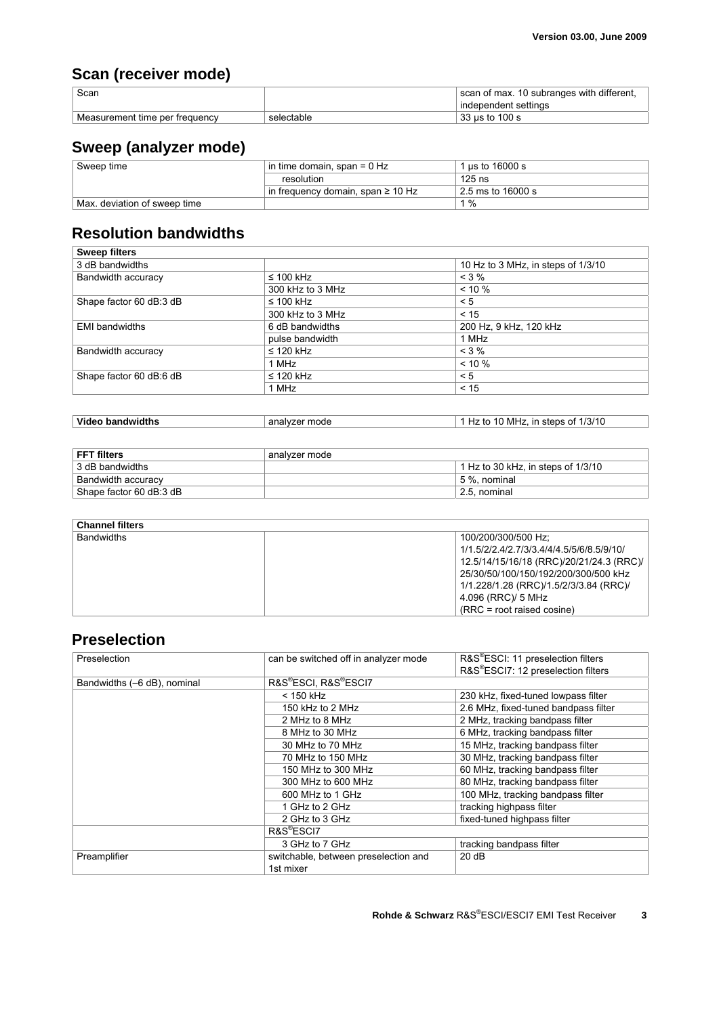# **Scan (receiver mode)**

| Scan                           |            | scan of max. 10 subranges with different, |
|--------------------------------|------------|-------------------------------------------|
|                                |            | independent settings                      |
| Measurement time per frequency | selectable | 33 us to 100 s                            |

# **Sweep (analyzer mode)**

| Sweep time                   | in time domain, span = $0$ Hz          | 1 us to 16000 s             |
|------------------------------|----------------------------------------|-----------------------------|
|                              | resolution                             | $125$ ns                    |
|                              | in frequency domain, span $\geq 10$ Hz | $2.5 \text{ ms}$ to 16000 s |
| Max. deviation of sweep time |                                        | 1 %                         |

#### **Resolution bandwidths**

| <b>Sweep filters</b>    |                  |                                    |
|-------------------------|------------------|------------------------------------|
| 3 dB bandwidths         |                  | 10 Hz to 3 MHz, in steps of 1/3/10 |
| Bandwidth accuracy      | $\leq 100$ kHz   | $< 3 \%$                           |
|                         | 300 kHz to 3 MHz | $< 10 \%$                          |
| Shape factor 60 dB:3 dB | $\leq 100$ kHz   | < 5                                |
|                         | 300 kHz to 3 MHz | < 15                               |
| <b>EMI</b> bandwidths   | 6 dB bandwidths  | 200 Hz, 9 kHz, 120 kHz             |
|                         | pulse bandwidth  | 1 MHz                              |
| Bandwidth accuracy      | $\leq$ 120 kHz   | $< 3 \%$                           |
|                         | 1 MHz            | $< 10 \%$                          |
| Shape factor 60 dB:6 dB | $\leq$ 120 kHz   | < 5                                |
|                         | 1 MHz            | < 15                               |

| Video bandwidths | analyzer mode | 10 MHz. in steps of 1/3/10<br>Hz to |
|------------------|---------------|-------------------------------------|

| <b>FFT filters</b>      | analyzer mode                        |
|-------------------------|--------------------------------------|
| 3 dB bandwidths         | 1 Hz to 30 kHz, in steps of $1/3/10$ |
| Bandwidth accuracy      | 5 %. nominal                         |
| Shape factor 60 dB:3 dB | 2.5. nominal                         |

#### **Channel filters**

| <b>Bandwidths</b> | 100/200/300/500 Hz:                       |
|-------------------|-------------------------------------------|
|                   | 1/1.5/2/2.4/2.7/3/3.4/4/4.5/5/6/8.5/9/10/ |
|                   | 12.5/14/15/16/18 (RRC)/20/21/24.3 (RRC)/  |
|                   | 25/30/50/100/150/192/200/300/500 kHz      |
|                   | 1/1.228/1.28 (RRC)/1.5/2/3/3.84 (RRC)/    |
|                   | 4.096 (RRC)/ 5 MHz                        |
|                   | $(RRC = root raised cosine)$              |

#### **Preselection**

| Preselection                | can be switched off in analyzer mode | R&S®ESCI: 11 preselection filters    |
|-----------------------------|--------------------------------------|--------------------------------------|
|                             |                                      | R&S®ESCI7: 12 preselection filters   |
| Bandwidths (-6 dB), nominal | R&S®ESCI, R&S®ESCI7                  |                                      |
|                             | < 150 kHz                            | 230 kHz, fixed-tuned lowpass filter  |
|                             | 150 kHz to 2 MHz                     | 2.6 MHz, fixed-tuned bandpass filter |
|                             | 2 MHz to 8 MHz                       | 2 MHz, tracking bandpass filter      |
|                             | 8 MHz to 30 MHz                      | 6 MHz, tracking bandpass filter      |
|                             | 30 MHz to 70 MHz                     | 15 MHz, tracking bandpass filter     |
|                             | 70 MHz to 150 MHz                    | 30 MHz, tracking bandpass filter     |
|                             | 150 MHz to 300 MHz                   | 60 MHz, tracking bandpass filter     |
|                             | 300 MHz to 600 MHz                   | 80 MHz, tracking bandpass filter     |
|                             | 600 MHz to 1 GHz                     | 100 MHz, tracking bandpass filter    |
|                             | 1 GHz to 2 GHz                       | tracking highpass filter             |
|                             | 2 GHz to 3 GHz                       | fixed-tuned highpass filter          |
|                             | R&S <sup>®</sup> ESCI7               |                                      |
|                             | 3 GHz to 7 GHz                       | tracking bandpass filter             |
| Preamplifier                | switchable, between preselection and | 20dB                                 |
|                             | 1st mixer                            |                                      |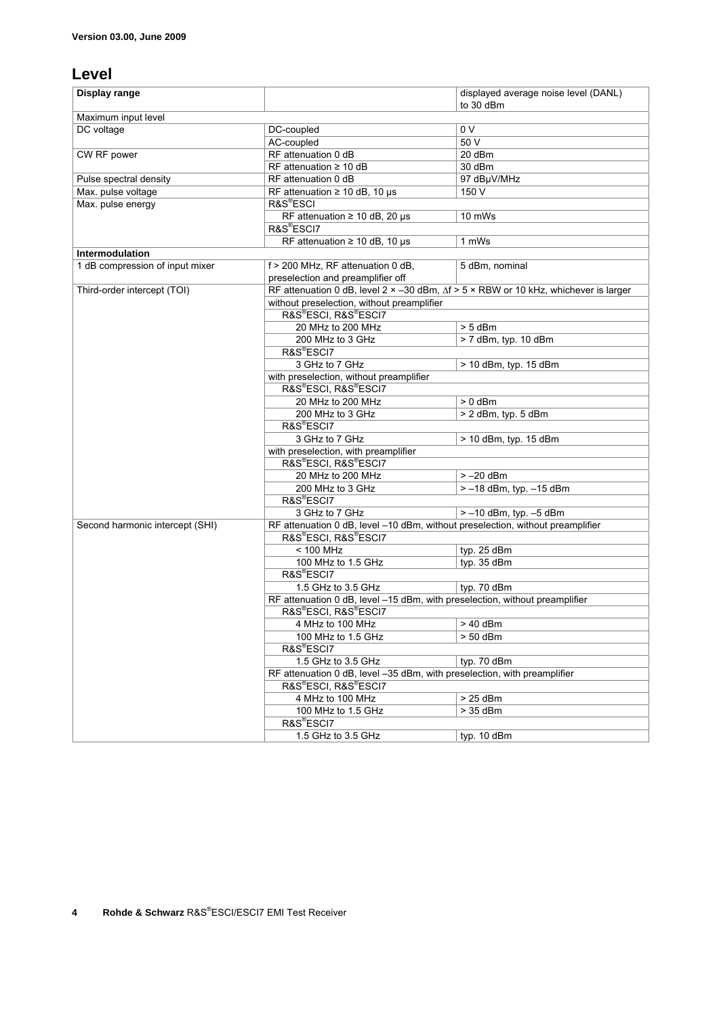#### **Level**

| Display range                   |                                                                                                                                  | displayed average noise level (DANL) |  |
|---------------------------------|----------------------------------------------------------------------------------------------------------------------------------|--------------------------------------|--|
|                                 |                                                                                                                                  | to 30 dBm                            |  |
| Maximum input level             |                                                                                                                                  |                                      |  |
| DC voltage                      | DC-coupled                                                                                                                       | 0 V                                  |  |
|                                 | AC-coupled                                                                                                                       | 50 V                                 |  |
| CW RF power                     | RF attenuation 0 dB                                                                                                              | 20 dBm                               |  |
|                                 | RF attenuation $\geq 10$ dB                                                                                                      | 30 dBm                               |  |
| Pulse spectral density          | RF attenuation 0 dB                                                                                                              | 97 dBµV/MHz                          |  |
| Max. pulse voltage              | RF attenuation $\geq 10$ dB, 10 µs                                                                                               | 150 V                                |  |
| Max. pulse energy               | R&S®ESCI                                                                                                                         |                                      |  |
|                                 | RF attenuation $\geq 10$ dB, 20 µs                                                                                               | 10 mWs                               |  |
|                                 | R&S <sup>®</sup> ESCI7                                                                                                           |                                      |  |
|                                 | RF attenuation $\geq 10$ dB, 10 µs                                                                                               | 1 mWs                                |  |
| Intermodulation                 |                                                                                                                                  |                                      |  |
| 1 dB compression of input mixer | f > 200 MHz, RF attenuation 0 dB,                                                                                                | 5 dBm, nominal                       |  |
|                                 | preselection and preamplifier off<br>RF attenuation 0 dB, level 2 x -30 dBm, $\Delta f$ > 5 x RBW or 10 kHz, whichever is larger |                                      |  |
| Third-order intercept (TOI)     | without preselection, without preamplifier                                                                                       |                                      |  |
|                                 | R&S®ESCI, R&S®ESCI7                                                                                                              |                                      |  |
|                                 | 20 MHz to 200 MHz                                                                                                                | $> 5$ dBm                            |  |
|                                 | 200 MHz to 3 GHz                                                                                                                 | > 7 dBm, typ. 10 dBm                 |  |
|                                 | R&S®ESCI7                                                                                                                        |                                      |  |
|                                 | 3 GHz to 7 GHz                                                                                                                   | > 10 dBm, typ. 15 dBm                |  |
|                                 | with preselection, without preamplifier                                                                                          |                                      |  |
|                                 | R&S®ESCI, R&S®ESCI7                                                                                                              |                                      |  |
|                                 | 20 MHz to 200 MHz                                                                                                                | $> 0$ dBm                            |  |
|                                 | 200 MHz to 3 GHz                                                                                                                 | > 2 dBm, typ. 5 dBm                  |  |
|                                 | R&S®ESCI7                                                                                                                        |                                      |  |
|                                 | 3 GHz to 7 GHz                                                                                                                   | > 10 dBm, typ. 15 dBm                |  |
|                                 | with preselection, with preamplifier                                                                                             |                                      |  |
|                                 | R&S®ESCI, R&S®ESCI7                                                                                                              |                                      |  |
|                                 | 20 MHz to 200 MHz                                                                                                                | $> -20$ dBm                          |  |
|                                 | 200 MHz to 3 GHz                                                                                                                 | $> -18$ dBm, typ. $-15$ dBm          |  |
|                                 | R&S®ESCI7                                                                                                                        |                                      |  |
|                                 | 3 GHz to 7 GHz                                                                                                                   | $> -10$ dBm, typ. $-5$ dBm           |  |
| Second harmonic intercept (SHI) | RF attenuation 0 dB, level -10 dBm, without preselection, without preamplifier                                                   |                                      |  |
|                                 | R&S®ESCI, R&S®ESCI7                                                                                                              |                                      |  |
|                                 | < 100 MHz                                                                                                                        | typ. 25 dBm                          |  |
|                                 | 100 MHz to 1.5 GHz                                                                                                               | typ. 35 dBm                          |  |
|                                 | R&S®ESCI7                                                                                                                        |                                      |  |
|                                 | 1.5 GHz to 3.5 GHz                                                                                                               | tvp. 70 dBm                          |  |
|                                 | RF attenuation 0 dB, level -15 dBm, with preselection, without preamplifier                                                      |                                      |  |
|                                 | R&S®ESCI, R&S®ESCI7                                                                                                              |                                      |  |
|                                 | 4 MHz to 100 MHz                                                                                                                 | > 40 dBm                             |  |
|                                 | 100 MHz to 1.5 GHz                                                                                                               | > 50 dBm                             |  |
|                                 | R&S®ESCI7                                                                                                                        |                                      |  |
|                                 | 1.5 GHz to 3.5 GHz                                                                                                               | typ. 70 dBm                          |  |
|                                 | RF attenuation 0 dB, level -35 dBm, with preselection, with preamplifier                                                         |                                      |  |
|                                 | R&S®ESCI, R&S®ESCI7                                                                                                              |                                      |  |
|                                 | 4 MHz to 100 MHz                                                                                                                 | > 25 dBm                             |  |
|                                 | 100 MHz to 1.5 GHz                                                                                                               | > 35 dBm                             |  |
|                                 | R&S®ESCI7                                                                                                                        |                                      |  |
|                                 | 1.5 GHz to 3.5 GHz                                                                                                               | typ. 10 dBm                          |  |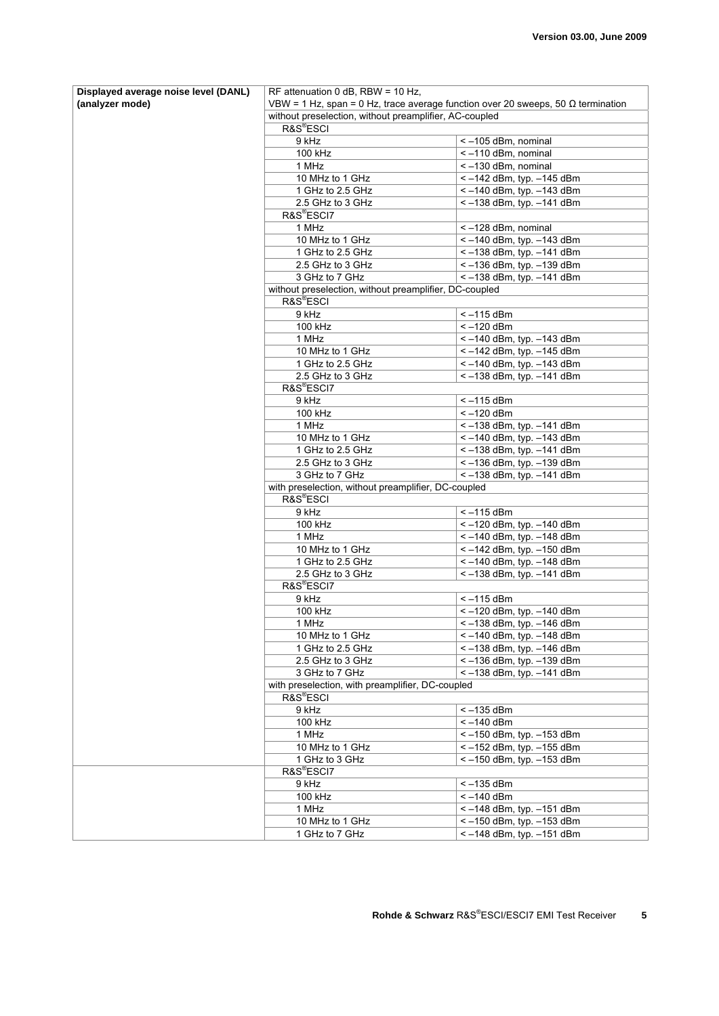| Displayed average noise level (DANL) | RF attenuation 0 dB, RBW = $10$ Hz,                                                     |                                                                                         |  |
|--------------------------------------|-----------------------------------------------------------------------------------------|-----------------------------------------------------------------------------------------|--|
| (analyzer mode)                      | VBW = 1 Hz, span = 0 Hz, trace average function over 20 sweeps, 50 $\Omega$ termination |                                                                                         |  |
|                                      | without preselection, without preamplifier, AC-coupled                                  |                                                                                         |  |
|                                      | R&S <sup>®</sup> ESCI                                                                   |                                                                                         |  |
|                                      | 9 kHz<br>100 kHz                                                                        | <-105 dBm, nominal<br>$\le$ -110 dBm, nominal                                           |  |
|                                      | 1 MHz                                                                                   | $< -130$ dBm, nominal                                                                   |  |
|                                      | 10 MHz to 1 GHz                                                                         | <-142 dBm, typ. -145 dBm                                                                |  |
|                                      | 1 GHz to 2.5 GHz                                                                        | $<-140$ dBm, typ. $-143$ dBm                                                            |  |
|                                      | 2.5 GHz to 3 GHz                                                                        | $<-138$ dBm, typ. $-141$ dBm                                                            |  |
|                                      | R&S <sup>®</sup> ESCI7                                                                  |                                                                                         |  |
|                                      | 1 MHz                                                                                   | <-128 dBm, nominal                                                                      |  |
|                                      | 10 MHz to 1 GHz                                                                         | $<-140$ dBm, typ. $-143$ dBm                                                            |  |
|                                      | 1 GHz to 2.5 GHz                                                                        | $<-138$ dBm, typ. $-141$ dBm                                                            |  |
|                                      | 2.5 GHz to 3 GHz                                                                        | <-136 dBm, typ. -139 dBm                                                                |  |
|                                      | 3 GHz to 7 GHz                                                                          | $\le$ -138 dBm, typ. -141 dBm                                                           |  |
|                                      | without preselection, without preamplifier, DC-coupled                                  |                                                                                         |  |
|                                      | R&S <sup>®</sup> ESCI<br>9 kHz                                                          | $<-115$ dBm                                                                             |  |
|                                      | 100 kHz                                                                                 | $<-120$ dBm                                                                             |  |
|                                      | 1 MHz                                                                                   | <- 140 dBm, typ. - 143 dBm                                                              |  |
|                                      | 10 MHz to 1 GHz                                                                         | $<-142$ dBm, typ. $-145$ dBm                                                            |  |
|                                      | 1 GHz to 2.5 GHz                                                                        | <- 140 dBm, typ. - 143 dBm                                                              |  |
|                                      | 2.5 GHz to 3 GHz                                                                        | $\sqrt{(-138 \text{ dBm}, \text{typ.} -141 \text{ dBm})}$                               |  |
|                                      | R&S <sup>®</sup> ESCI7                                                                  |                                                                                         |  |
|                                      | 9 kHz                                                                                   | $<-115$ dBm                                                                             |  |
|                                      | 100 kHz                                                                                 | $<-120$ dBm                                                                             |  |
|                                      | 1 MHz                                                                                   | $<-138$ dBm, typ. $-141$ dBm                                                            |  |
|                                      | 10 MHz to 1 GHz                                                                         | $\le$ -140 dBm, typ. -143 dBm                                                           |  |
|                                      | 1 GHz to 2.5 GHz                                                                        | $\sqrt{(-138 \text{ dBm}, \text{typ.} -141 \text{ dBm})}$                               |  |
|                                      | 2.5 GHz to 3 GHz<br>3 GHz to 7 GHz                                                      | <- 136 dBm, typ. - 139 dBm<br>$\sqrt{(-138 \text{ dBm}, \text{typ.} -141 \text{ dBm})}$ |  |
|                                      | with preselection, without preamplifier, DC-coupled                                     |                                                                                         |  |
|                                      | R&S®ESCI                                                                                |                                                                                         |  |
|                                      | 9 kHz                                                                                   | $\le -115$ dBm                                                                          |  |
|                                      | 100 kHz                                                                                 | <- 120 dBm, typ. - 140 dBm                                                              |  |
|                                      | 1 MHz                                                                                   | <- 140 dBm, typ. - 148 dBm                                                              |  |
|                                      | 10 MHz to 1 GHz                                                                         | $<-142$ dBm, typ. $-150$ dBm                                                            |  |
|                                      | 1 GHz to 2.5 GHz                                                                        | <-140 dBm, typ. -148 dBm                                                                |  |
|                                      | 2.5 GHz to 3 GHz                                                                        | $<-138$ dBm, typ. $-141$ dBm                                                            |  |
|                                      | R&S®ESCI7                                                                               |                                                                                         |  |
|                                      | 9 kHz                                                                                   | $<-115$ dBm                                                                             |  |
|                                      | 100 kHz<br>1 MHz                                                                        | $<-120$ dBm, typ. $-140$ dBm<br>$\sqrt{5 - 138}$ dBm, typ. -146 dBm                     |  |
|                                      | 10 MHz to 1 GHz                                                                         | <-140 dBm, typ. -148 dBm                                                                |  |
|                                      | 1 GHz to 2.5 GHz                                                                        | <-138 dBm, typ. -146 dBm                                                                |  |
|                                      | 2.5 GHz to 3 GHz                                                                        | <-136 dBm, typ. -139 dBm                                                                |  |
|                                      | 3 GHz to 7 GHz                                                                          | $\le$ -138 dBm, typ. -141 dBm                                                           |  |
|                                      | with preselection, with preamplifier, DC-coupled                                        |                                                                                         |  |
|                                      | R&S <sup>®</sup> ESCI                                                                   |                                                                                         |  |
|                                      | 9 kHz                                                                                   | $< -135$ dBm                                                                            |  |
|                                      | 100 kHz                                                                                 | $<-140$ dBm                                                                             |  |
|                                      | 1 MHz                                                                                   | $\sqrt{(-150 \text{ dBm}, \text{typ.} -153 \text{ dBm})}$                               |  |
|                                      | 10 MHz to 1 GHz<br>1 GHz to 3 GHz                                                       | <-152 dBm, typ. -155 dBm<br>$\le$ -150 dBm, typ. -153 dBm                               |  |
|                                      | R&S <sup>®</sup> ESCI7                                                                  |                                                                                         |  |
|                                      | 9 kHz                                                                                   | $<-135$ dBm                                                                             |  |
|                                      | 100 kHz                                                                                 | $<-140$ dBm                                                                             |  |
|                                      | 1 MHz                                                                                   | <- 148 dBm, typ. - 151 dBm                                                              |  |
|                                      | 10 MHz to 1 GHz                                                                         | <-150 dBm, typ. -153 dBm                                                                |  |
|                                      | 1 GHz to 7 GHz                                                                          | $<-148$ dBm, typ. $-151$ dBm                                                            |  |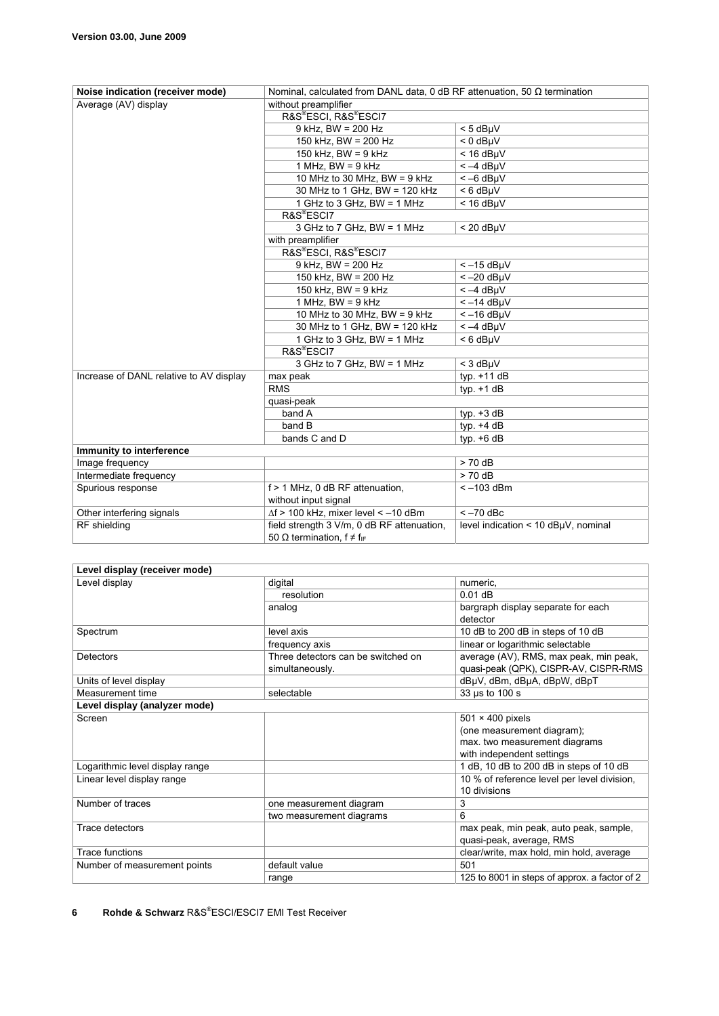| Noise indication (receiver mode)        | Nominal, calculated from DANL data, 0 dB RF attenuation, 50 $\Omega$ termination |                                     |
|-----------------------------------------|----------------------------------------------------------------------------------|-------------------------------------|
| Average (AV) display                    | without preamplifier                                                             |                                     |
|                                         | R&S®ESCI, R&S®ESCI7                                                              |                                     |
|                                         | $9$ kHz, BW = 200 Hz                                                             | $< 5$ dB $\mu$ V                    |
|                                         | 150 kHz, BW = 200 Hz                                                             | $< 0$ dB $\mu$ V                    |
|                                         | 150 kHz. BW = $9$ kHz                                                            | $< 16$ dBuV                         |
|                                         | 1 MHz, $BW = 9$ kHz                                                              | $<-4$ dBµV                          |
|                                         | 10 MHz to 30 MHz, BW = $9$ kHz                                                   | $<-6$ dB $\mu$ V                    |
|                                         | 30 MHz to 1 GHz, BW = 120 kHz                                                    | $< 6$ dB $\mu$ V                    |
|                                         | 1 GHz to 3 GHz, BW = 1 MHz                                                       | $<$ 16 dB $\mu$ V                   |
|                                         | R&S <sup>®</sup> ESCI7                                                           |                                     |
|                                         | 3 GHz to 7 GHz, BW = 1 MHz                                                       | $< 20$ dB $\mu$ V                   |
|                                         | with preamplifier                                                                |                                     |
|                                         | R&S®ESCI, R&S®ESCI7                                                              |                                     |
|                                         | $9$ kHz. BW = 200 Hz                                                             | $<-15$ dBµV                         |
|                                         | 150 kHz, BW = 200 Hz                                                             | $<-20$ dBµV                         |
|                                         | 150 kHz, $BW = 9$ kHz                                                            | $<-4$ dBµV                          |
|                                         | 1 MHz. BW = $9$ kHz                                                              | $<-14$ dBµV                         |
|                                         | 10 MHz to 30 MHz, BW = $9$ kHz                                                   | $<-16$ dBµV                         |
|                                         | 30 MHz to 1 GHz, BW = 120 kHz                                                    | $<-4$ dBµV                          |
|                                         | 1 GHz to 3 GHz, BW = 1 MHz                                                       | $< 6$ dB $\mu$ V                    |
|                                         | R&S®ESCI7                                                                        |                                     |
|                                         | 3 GHz to 7 GHz, BW = 1 MHz                                                       | $<$ 3 dB $\mu$ V                    |
| Increase of DANL relative to AV display | max peak                                                                         | typ. $+11$ dB                       |
|                                         | <b>RMS</b>                                                                       | typ. $+1$ dB                        |
|                                         | quasi-peak                                                                       |                                     |
|                                         | band A                                                                           | typ. $+3$ dB                        |
|                                         | band B                                                                           | typ. $+4$ dB                        |
|                                         | bands C and D                                                                    | typ. $+6$ dB                        |
| Immunity to interference                |                                                                                  |                                     |
| Image frequency                         |                                                                                  | $> 70$ dB                           |
| Intermediate frequency                  |                                                                                  | $> 70$ dB                           |
| Spurious response                       | f > 1 MHz, 0 dB RF attenuation,                                                  | $<-103$ dBm                         |
|                                         | without input signal                                                             |                                     |
| Other interfering signals               | $\Delta f$ > 100 kHz, mixer level < -10 dBm                                      | $<-70$ dBc                          |
| RF shielding                            | field strength 3 V/m, 0 dB RF attenuation,                                       | level indication < 10 dBµV, nominal |
|                                         | 50 $\Omega$ termination, $f \neq f_{IF}$                                         |                                     |

| Level display (receiver mode)   |                                    |                                               |
|---------------------------------|------------------------------------|-----------------------------------------------|
| Level display                   | digital                            | numeric,                                      |
|                                 | resolution                         | $0.01$ dB                                     |
|                                 | analog                             | bargraph display separate for each            |
|                                 |                                    | detector                                      |
| Spectrum                        | level axis                         | 10 dB to 200 dB in steps of 10 dB             |
|                                 | frequency axis                     | linear or logarithmic selectable              |
| Detectors                       | Three detectors can be switched on | average (AV), RMS, max peak, min peak,        |
|                                 | simultaneously.                    | quasi-peak (QPK), CISPR-AV, CISPR-RMS         |
| Units of level display          |                                    | dBµV, dBm, dBµA, dBpW, dBpT                   |
| Measurement time                | selectable                         | 33 µs to 100 s                                |
| Level display (analyzer mode)   |                                    |                                               |
| Screen                          |                                    | $501 \times 400$ pixels                       |
|                                 |                                    | (one measurement diagram);                    |
|                                 |                                    | max. two measurement diagrams                 |
|                                 |                                    | with independent settings                     |
| Logarithmic level display range |                                    | 1 dB, 10 dB to 200 dB in steps of 10 dB       |
| Linear level display range      |                                    | 10 % of reference level per level division,   |
|                                 |                                    | 10 divisions                                  |
| Number of traces                | one measurement diagram            | 3                                             |
|                                 | two measurement diagrams           | 6                                             |
| Trace detectors                 |                                    | max peak, min peak, auto peak, sample,        |
|                                 |                                    | quasi-peak, average, RMS                      |
| Trace functions                 |                                    | clear/write, max hold, min hold, average      |
| Number of measurement points    | default value                      | 501                                           |
|                                 | range                              | 125 to 8001 in steps of approx. a factor of 2 |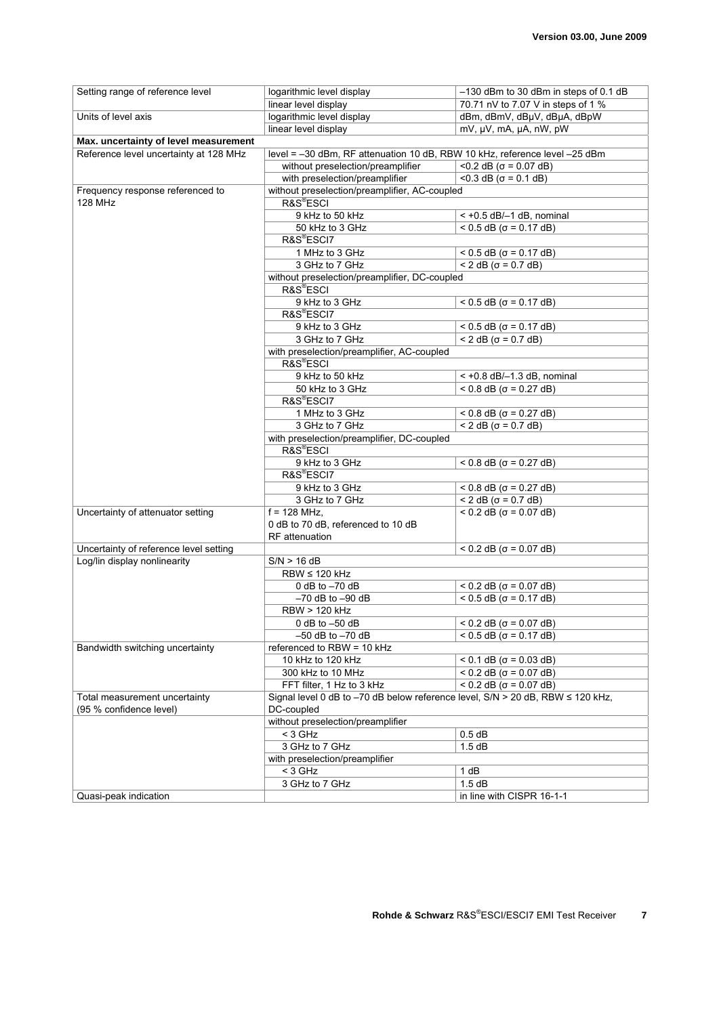| Setting range of reference level       | logarithmic level display                                                      | -130 dBm to 30 dBm in steps of 0.1 dB |
|----------------------------------------|--------------------------------------------------------------------------------|---------------------------------------|
|                                        | linear level display                                                           | 70.71 nV to 7.07 V in steps of 1 %    |
| Units of level axis                    | logarithmic level display                                                      | dBm, dBmV, dBµV, dBµA, dBpW           |
|                                        | linear level display                                                           | mV, µV, mA, µA, nW, pW                |
| Max. uncertainty of level measurement  |                                                                                |                                       |
| Reference level uncertainty at 128 MHz | level = -30 dBm, RF attenuation 10 dB, RBW 10 kHz, reference level -25 dBm     |                                       |
|                                        | without preselection/preamplifier                                              | $<$ 0.2 dB ( $\sigma$ = 0.07 dB)      |
|                                        | with preselection/preamplifier                                                 | $<$ 0.3 dB ( $\sigma$ = 0.1 dB)       |
| Frequency response referenced to       | without preselection/preamplifier, AC-coupled                                  |                                       |
| 128 MHz                                | R&S <sup>®</sup> ESCI                                                          |                                       |
|                                        | 9 kHz to 50 kHz                                                                | $<$ +0.5 dB/ $-1$ dB, nominal         |
|                                        | 50 kHz to 3 GHz<br>R&S <sup>®</sup> ESCI7                                      | $< 0.5$ dB ( $\sigma = 0.17$ dB)      |
|                                        | 1 MHz to 3 GHz                                                                 | $< 0.5$ dB ( $\sigma$ = 0.17 dB)      |
|                                        | 3 GHz to 7 GHz                                                                 | $<$ 2 dB ( $\sigma$ = 0.7 dB)         |
|                                        | without preselection/preamplifier, DC-coupled                                  |                                       |
|                                        | R&S <sup>®</sup> ESCI                                                          |                                       |
|                                        | 9 kHz to 3 GHz                                                                 | $< 0.5$ dB ( $\sigma$ = 0.17 dB)      |
|                                        | R&S <sup>®</sup> ESCI7                                                         |                                       |
|                                        | 9 kHz to 3 GHz                                                                 | $<$ 0.5 dB ( $\sigma$ = 0.17 dB)      |
|                                        | 3 GHz to 7 GHz                                                                 | $< 2$ dB ( $\sigma$ = 0.7 dB)         |
|                                        | with preselection/preamplifier, AC-coupled                                     |                                       |
|                                        | R&S®ESCI                                                                       |                                       |
|                                        | 9 kHz to 50 kHz                                                                | $<$ +0.8 dB/-1.3 dB, nominal          |
|                                        | 50 kHz to 3 GHz                                                                | $< 0.8$ dB ( $\sigma = 0.27$ dB)      |
|                                        | R&S®ESCI7                                                                      |                                       |
|                                        | 1 MHz to 3 GHz                                                                 | $<$ 0.8 dB ( $\sigma$ = 0.27 dB)      |
|                                        | 3 GHz to 7 GHz                                                                 | $<$ 2 dB ( $\sigma$ = 0.7 dB)         |
|                                        | with preselection/preamplifier, DC-coupled<br>R&S®ESCI                         |                                       |
|                                        | 9 kHz to 3 GHz                                                                 | $< 0.8$ dB ( $\sigma = 0.27$ dB)      |
|                                        | R&S®ESCI7                                                                      |                                       |
|                                        | 9 kHz to 3 GHz                                                                 | $<$ 0.8 dB ( $\sigma$ = 0.27 dB)      |
|                                        | 3 GHz to 7 GHz                                                                 | $< 2$ dB ( $\sigma$ = 0.7 dB)         |
| Uncertainty of attenuator setting      | $\overline{f}$ = 128 MHz,                                                      | $< 0.2$ dB ( $\sigma = 0.07$ dB)      |
|                                        | 0 dB to 70 dB, referenced to 10 dB                                             |                                       |
|                                        | RF attenuation                                                                 |                                       |
| Uncertainty of reference level setting |                                                                                | $< 0.2$ dB ( $\sigma = 0.07$ dB)      |
| Log/lin display nonlinearity           | S/N > 16 dB                                                                    |                                       |
|                                        | $RBW \leq 120$ kHz                                                             |                                       |
|                                        | 0 dB to $-70$ dB                                                               | $< 0.2$ dB ( $\sigma = 0.07$ dB)      |
|                                        | $-70$ dB to $-90$ dB                                                           | $< 0.5$ dB ( $\sigma$ = 0.17 dB)      |
|                                        | <b>RBW &gt; 120 kHz</b>                                                        |                                       |
|                                        | 0 dB to $-50$ dB                                                               | $< 0.2$ dB ( $\sigma$ = 0.07 dB)      |
|                                        | $-50$ dB to $-70$ dB                                                           | $< 0.5$ dB ( $\sigma$ = 0.17 dB)      |
| Bandwidth switching uncertainty        | referenced to RBW = 10 kHz<br>10 kHz to 120 kHz                                | $< 0.1$ dB ( $\sigma$ = 0.03 dB)      |
|                                        | 300 kHz to 10 MHz                                                              | $< 0.2$ dB ( $\sigma = 0.07$ dB)      |
|                                        | FFT filter, 1 Hz to 3 kHz                                                      | $<$ 0.2 dB ( $\sigma$ = 0.07 dB)      |
| Total measurement uncertainty          | Signal level 0 dB to -70 dB below reference level, S/N > 20 dB, RBW ≤ 120 kHz, |                                       |
| (95 % confidence level)                | DC-coupled                                                                     |                                       |
|                                        | without preselection/preamplifier                                              |                                       |
|                                        | $<$ 3 GHz                                                                      | 0.5 dB                                |
|                                        | 3 GHz to 7 GHz                                                                 | 1.5dB                                 |
|                                        | with preselection/preamplifier                                                 |                                       |
|                                        | $<$ 3 GHz                                                                      | 1 dB                                  |
|                                        | 3 GHz to 7 GHz                                                                 | 1.5dB                                 |
| Quasi-peak indication                  |                                                                                | in line with CISPR 16-1-1             |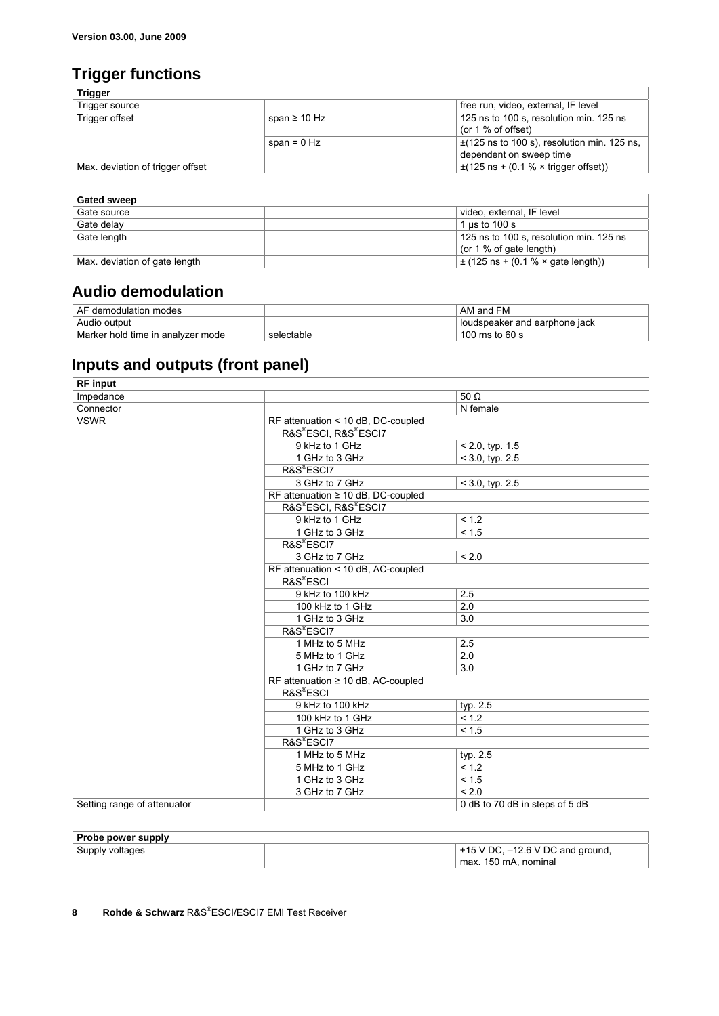## **Trigger functions**

|                   | free run, video, external, IF level              |
|-------------------|--------------------------------------------------|
| span $\geq 10$ Hz | 125 ns to 100 s, resolution min. 125 ns          |
|                   | (or $1\%$ of offset)                             |
| span = $0$ Hz     | $\pm$ (125 ns to 100 s), resolution min. 125 ns, |
|                   | dependent on sweep time                          |
|                   | $\pm$ (125 ns + (0.1 % × trigger offset))        |
|                   |                                                  |

| <b>Gated sweep</b>            |                                         |
|-------------------------------|-----------------------------------------|
| Gate source                   | video, external, IF level               |
| Gate delay                    | 1 us to $100 s$                         |
| Gate length                   | 125 ns to 100 s, resolution min. 125 ns |
|                               | (or $1\%$ of gate length)               |
| Max. deviation of gate length | $\pm$ (125 ns + (0.1 % × gate length))  |

#### **Audio demodulation**

| AF<br>∃ demodulation modes        |            | AM and FM                     |
|-----------------------------------|------------|-------------------------------|
| Audio output                      |            | loudspeaker and earphone jack |
| Marker hold time in analyzer mode | selectable | 100 ms to 60 s                |

## **Inputs and outputs (front panel)**

| <b>RF</b> input             |                                         |                                |
|-----------------------------|-----------------------------------------|--------------------------------|
| Impedance                   |                                         | 50 $\Omega$                    |
| Connector                   |                                         | N female                       |
| <b>VSWR</b>                 | RF attenuation < 10 dB, DC-coupled      |                                |
|                             | R&S®ESCI, R&S®ESCI7                     |                                |
|                             | 9 kHz to 1 GHz                          | $< 2.0$ , typ. 1.5             |
|                             | 1 GHz to 3 GHz                          | $<$ 3.0, typ. 2.5              |
|                             | R&S <sup>®</sup> ESCI7                  |                                |
|                             | 3 GHz to 7 GHz                          | $< 3.0$ , typ. $2.5$           |
|                             | RF attenuation $\geq 10$ dB, DC-coupled |                                |
|                             | R&S®ESCI, R&S®ESCI7                     |                                |
|                             | 9 kHz to 1 GHz                          | < 1.2                          |
|                             | 1 GHz to 3 GHz                          | < 1.5                          |
|                             | R&S <sup>®</sup> ESCI7                  |                                |
|                             | 3 GHz to 7 GHz                          | < 2.0                          |
|                             | RF attenuation < 10 dB, AC-coupled      |                                |
|                             | R&S <sup>®</sup> ESCI                   |                                |
|                             | 9 kHz to 100 kHz                        | 2.5                            |
|                             | 100 kHz to 1 GHz                        | 2.0                            |
|                             | 1 GHz to 3 GHz                          | 3.0                            |
|                             | R&S®ESCI7                               |                                |
|                             | 1 MHz to 5 MHz                          | 2.5                            |
|                             | 5 MHz to 1 GHz                          | 2.0                            |
|                             | 1 GHz to 7 GHz                          | 3.0                            |
|                             | RF attenuation $\geq 10$ dB, AC-coupled |                                |
|                             | R&S <sup>®</sup> ESCI                   |                                |
|                             | 9 kHz to 100 kHz                        | typ. 2.5                       |
|                             | 100 kHz to 1 GHz                        | < 1.2                          |
|                             | 1 GHz to 3 GHz                          | < 1.5                          |
|                             | R&S <sup>®</sup> ESCI7                  |                                |
|                             | 1 MHz to 5 MHz                          | typ. 2.5                       |
|                             | 5 MHz to 1 GHz                          | < 1.2                          |
|                             | 1 GHz to 3 GHz                          | < 1.5                          |
|                             | 3 GHz to 7 GHz                          | < 2.0                          |
| Setting range of attenuator |                                         | 0 dB to 70 dB in steps of 5 dB |

| Probe power supply |                                      |
|--------------------|--------------------------------------|
| Supply voltages    | $+15$ V DC, $-12.6$ V DC and ground, |
|                    | max. 150 mA. nominal                 |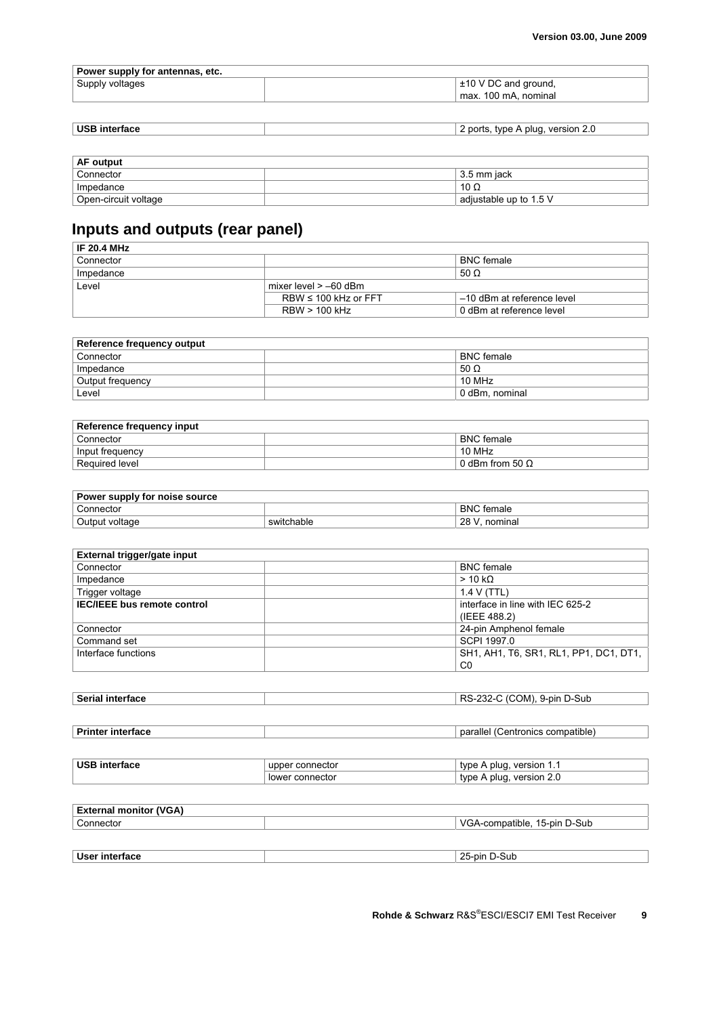| Power supply for antennas, etc. |                           |  |
|---------------------------------|---------------------------|--|
| ' Supply voltages               | $\pm$ 10 V DC and ground, |  |
|                                 | max. 100 mA. nominal      |  |

| <b>USB</b> interface | version<br>plua.<br>type<br>ports.<br><u>.</u><br>. . |
|----------------------|-------------------------------------------------------|

| AF output            |                        |  |
|----------------------|------------------------|--|
| Connector            | 3.5 mm iack            |  |
| Impedance            | 10 $\Omega$            |  |
| Open-circuit voltage | adjustable up to 1.5 V |  |

# **Inputs and outputs (rear panel)**

| <b>IF 20.4 MHz</b> |                           |                            |
|--------------------|---------------------------|----------------------------|
| Connector          |                           | <b>BNC</b> female          |
| Impedance          |                           | 50 $\Omega$                |
| Level              | mixer level $> -60$ dBm   |                            |
|                    | RBW $\leq 100$ kHz or FFT | -10 dBm at reference level |
|                    | $RBW > 100$ kHz           | 0 dBm at reference level   |

| Reference frequency output |                    |  |
|----------------------------|--------------------|--|
| Connector                  | <b>BNC</b> female  |  |
| Impedance                  | 50 $\Omega$        |  |
| Output frequency           | 10 MH <sub>7</sub> |  |
| Level                      | 0 dBm, nominal     |  |

| Reference frequency input |                              |  |
|---------------------------|------------------------------|--|
| Connector                 | <b>BNC</b> female            |  |
| Input frequency           | 10 MHz                       |  |
| Required level            | $\pm 0$ dBm from 50 $\Omega$ |  |

| Power supply for noise source |            |                   |
|-------------------------------|------------|-------------------|
| Connector                     |            | <b>BNC</b> female |
| Output voltage                | switchable | 28 V<br>nominal   |

| External trigger/gate input        |                                        |
|------------------------------------|----------------------------------------|
| Connector                          | <b>BNC</b> female                      |
| Impedance                          | $> 10 k\Omega$                         |
| Trigger voltage                    | 1.4 V(TTL)                             |
| <b>IEC/IEEE</b> bus remote control | interface in line with IEC 625-2       |
|                                    | (IEEE 488.2)                           |
| Connector                          | 24-pin Amphenol female                 |
| Command set                        | SCPI 1997.0                            |
| Interface functions                | SH1, AH1, T6, SR1, RL1, PP1, DC1, DT1, |
|                                    | C0                                     |

| <b>Serial</b><br><b>Merface</b> | 9-pin D-Sub<br>RS.<br>JM).<br>-232-1 |
|---------------------------------|--------------------------------------|
|                                 |                                      |

| <b>Printer</b> | compatible   |
|----------------|--------------|
| ∶interface     | parallel     |
| .              | ∴entronics < |
|                |              |

| <b>USB</b><br>ertace:<br>ıntı | connector<br>uppe | version<br>tyne.<br>pluc            |
|-------------------------------|-------------------|-------------------------------------|
|                               | connector<br>lowe | version<br>tvne<br>pluc<br><u>.</u> |

| <b>External monitor (VGA)</b> |                              |
|-------------------------------|------------------------------|
| Connector                     | VGA-compatible, 15-pin D-Sub |
|                               |                              |
|                               |                              |
| User interface                | 25-pin D-Sub                 |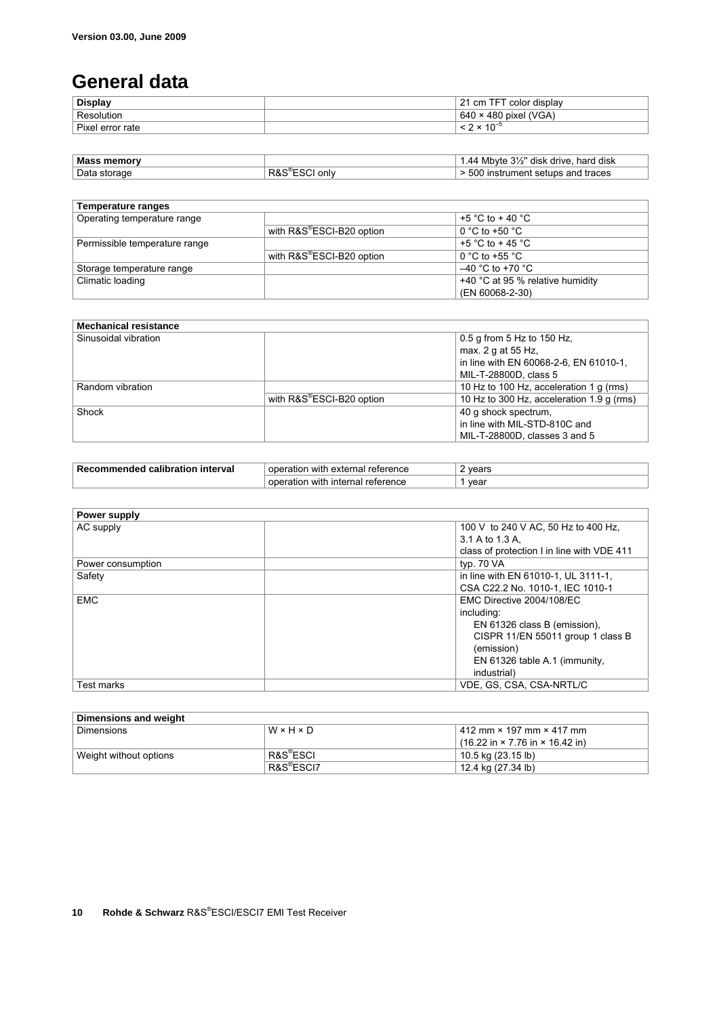# **General data**

| <b>Display</b>        | color display<br><b>TET</b><br>ົາາ<br>cm |
|-----------------------|------------------------------------------|
| Resolution            | 480 pixel (VGA)<br>64                    |
| Pixer<br>l error rate | $\sim$<br>$\ddot{\phantom{0}}$           |

| <b>Mass memory</b> |            | Mbyte 3½" disk drive, hard disk<br>$\Lambda$ |
|--------------------|------------|----------------------------------------------|
| Data storage       | only<br>ĸα | 500 instrument setups and traces             |

| Temperature ranges            |                                       |                                      |
|-------------------------------|---------------------------------------|--------------------------------------|
| Operating temperature range   |                                       | +5 °C to + 40 °C                     |
|                               | with R&S <sup>®</sup> ESCI-B20 option | 0 °C to +50 $^{\circ}$ C             |
| Permissible temperature range |                                       | +5 $^{\circ}$ C to + 45 $^{\circ}$ C |
|                               | with R&S®ESCI-B20 option              | 0 °C to +55 °C                       |
| Storage temperature range     |                                       | $-40$ °C to +70 °C                   |
| Climatic loading              |                                       | +40 °C at 95 % relative humidity     |
|                               |                                       | (EN 60068-2-30)                      |

| <b>Mechanical resistance</b> |                                       |                                                  |
|------------------------------|---------------------------------------|--------------------------------------------------|
| Sinusoidal vibration         |                                       | 0.5 g from 5 Hz to 150 Hz,<br>max. 2 g at 55 Hz. |
|                              |                                       | in line with EN 60068-2-6, EN 61010-1,           |
|                              |                                       | MIL-T-28800D, class 5                            |
| Random vibration             |                                       | 10 Hz to 100 Hz, acceleration 1 g (rms)          |
|                              | with R&S <sup>®</sup> ESCI-B20 option | 10 Hz to 300 Hz, acceleration 1.9 q (rms)        |
| Shock                        |                                       | 40 g shock spectrum,                             |
|                              |                                       | in line with MIL-STD-810C and                    |
|                              |                                       | MIL-T-28800D, classes 3 and 5                    |

| Re <sup>r</sup><br>interval<br>calibration<br>nmended<br>711 | reterence<br>`externa∟<br>∴ oner<br>with<br>atlor | vears |
|--------------------------------------------------------------|---------------------------------------------------|-------|
|                                                              | reterence<br>with<br>internal<br>. anc            | vear  |

| Power supply      |                                            |
|-------------------|--------------------------------------------|
| AC supply         | 100 V to 240 V AC, 50 Hz to 400 Hz,        |
|                   | 3.1 A to 1.3 A.                            |
|                   | class of protection I in line with VDE 411 |
| Power consumption | typ. 70 VA                                 |
| Safety            | in line with EN 61010-1, UL 3111-1,        |
|                   | CSA C22.2 No. 1010-1, IEC 1010-1           |
| <b>EMC</b>        | EMC Directive 2004/108/EC                  |
|                   | including:                                 |
|                   | EN 61326 class B (emission).               |
|                   | CISPR 11/EN 55011 group 1 class B          |
|                   | (emission)                                 |
|                   | EN 61326 table A.1 (immunity,              |
|                   | industrial)                                |
| Test marks        | VDE. GS. CSA. CSA-NRTL/C                   |

| Dimensions and weight  |                        |                                                                     |  |  |
|------------------------|------------------------|---------------------------------------------------------------------|--|--|
| Dimensions             | W×H×D                  | 412 mm × 197 mm × 417 mm                                            |  |  |
|                        |                        | $(16.22 \text{ in} \times 7.76 \text{ in} \times 16.42 \text{ in})$ |  |  |
| Weight without options | R&S <sup>®</sup> ESCI  | 10.5 kg (23.15 lb)                                                  |  |  |
|                        | R&S <sup>®</sup> ESCI7 | 12.4 kg (27.34 lb)                                                  |  |  |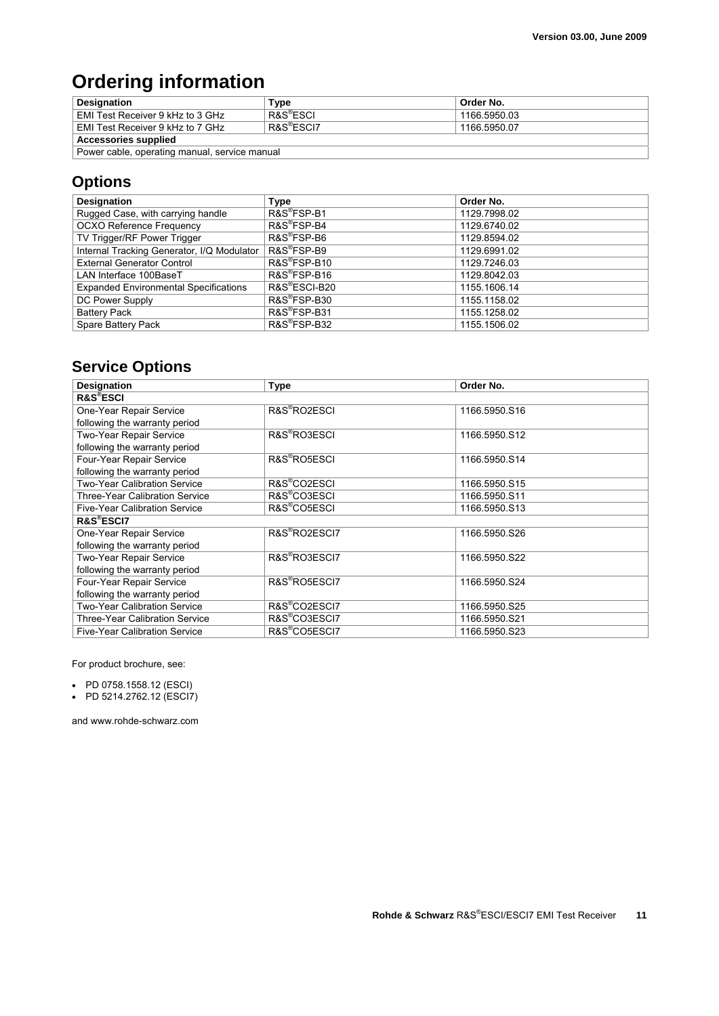# **Ordering information**

| <b>Designation</b>                            | Type                   | Order No.    |  |  |  |
|-----------------------------------------------|------------------------|--------------|--|--|--|
| EMI Test Receiver 9 kHz to 3 GHz              | R&S <sup>®</sup> ESCI  | 1166.5950.03 |  |  |  |
| EMI Test Receiver 9 kHz to 7 GHz              | R&S <sup>®</sup> ESCI7 | 1166.5950.07 |  |  |  |
| <b>Accessories supplied</b>                   |                        |              |  |  |  |
| Power cable, operating manual, service manual |                        |              |  |  |  |

## **Options**

| Designation                                  | Type                      | Order No.    |
|----------------------------------------------|---------------------------|--------------|
| Rugged Case, with carrying handle            | R&S®FSP-B1                | 1129.7998.02 |
| <b>OCXO Reference Frequency</b>              | R&S <sup>®</sup> FSP-B4   | 1129.6740.02 |
| TV Trigger/RF Power Trigger                  | R&S <sup>®</sup> FSP-B6   | 1129.8594.02 |
| Internal Tracking Generator, I/Q Modulator   | R&S <sup>®</sup> FSP-B9   | 1129.6991.02 |
| <b>External Generator Control</b>            | R&S <sup>®</sup> FSP-B10  | 1129.7246.03 |
| LAN Interface 100BaseT                       | R&S <sup>®</sup> FSP-B16  | 1129.8042.03 |
| <b>Expanded Environmental Specifications</b> | R&S <sup>®</sup> ESCI-B20 | 1155.1606.14 |
| DC Power Supply                              | R&S®FSP-B30               | 1155.1158.02 |
| <b>Battery Pack</b>                          | R&S®FSP-B31               | 1155.1258.02 |
| Spare Battery Pack                           | R&S®FSP-B32               | 1155.1506.02 |

## **Service Options**

| <b>Designation</b>                    | <b>Type</b>               | Order No.     |  |  |
|---------------------------------------|---------------------------|---------------|--|--|
| <b>R&amp;S®ESCI</b>                   |                           |               |  |  |
| One-Year Repair Service               | R&S <sup>®</sup> RO2ESCI  | 1166.5950.S16 |  |  |
| following the warranty period         |                           |               |  |  |
| Two-Year Repair Service               | R&S <sup>®</sup> RO3ESCI  | 1166.5950.S12 |  |  |
| following the warranty period         |                           |               |  |  |
| Four-Year Repair Service              | R&S <sup>®</sup> RO5ESCI  | 1166.5950.S14 |  |  |
| following the warranty period         |                           |               |  |  |
| <b>Two-Year Calibration Service</b>   | R&S <sup>®</sup> CO2ESCI  | 1166.5950.S15 |  |  |
| <b>Three-Year Calibration Service</b> | R&S <sup>®</sup> CO3ESCI  | 1166.5950.S11 |  |  |
| <b>Five-Year Calibration Service</b>  | R&S <sup>®</sup> CO5ESCI  | 1166.5950.S13 |  |  |
| <b>R&amp;S®ESCI7</b>                  |                           |               |  |  |
| One-Year Repair Service               | R&S®RO2ESCI7              | 1166.5950.S26 |  |  |
| following the warranty period         |                           |               |  |  |
| Two-Year Repair Service               | R&S <sup>®</sup> RO3ESCI7 | 1166.5950.S22 |  |  |
| following the warranty period         |                           |               |  |  |
| Four-Year Repair Service              | R&S <sup>®</sup> RO5ESCI7 | 1166.5950.S24 |  |  |
| following the warranty period         |                           |               |  |  |
| <b>Two-Year Calibration Service</b>   | R&S®CO2ESCI7              | 1166.5950.S25 |  |  |
| <b>Three-Year Calibration Service</b> | R&S <sup>®</sup> CO3ESCI7 | 1166.5950.S21 |  |  |
| Five-Year Calibration Service         | R&S <sup>®</sup> CO5ESCI7 | 1166.5950.S23 |  |  |

For product brochure, see:

• PD 0758.1558.12 (ESCI)

• PD 5214.2762.12 (ESCI7)

and www.rohde-schwarz.com